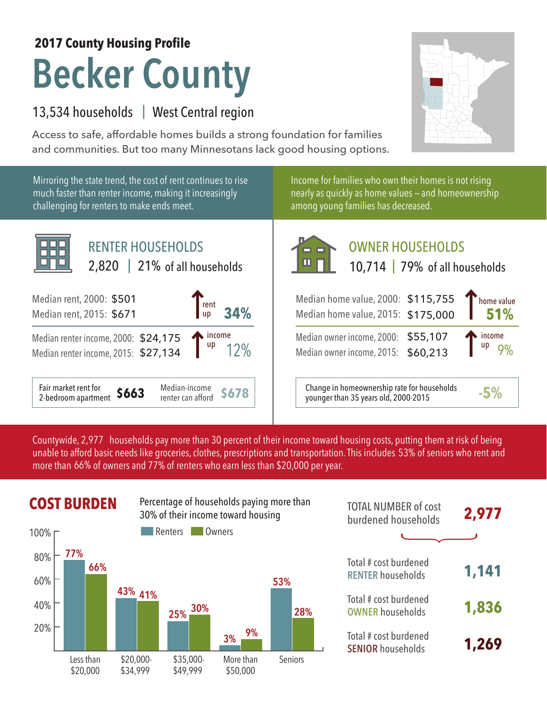# **Becker County 2017 County Housing Profile**

### 13,534 households | West Central region

Access to safe, affordable homes builds a strong foundation for families and communities. But too many Minnesotans lack good housing options.



Countywide, 2,977 households pay more than 30 percent of their income toward housing costs, putting them at risk of being unable to afford basic needs like groceries, clothes, prescriptions and transportation. This includes 53% of seniors who rent and more than 66% of owners and 77% of renters who earn less than \$20,000 per year.

## **COST BURDEN** Percentage of households paying more than **TOTAL NUMBER** of cost



| <b>TOTAL NUMBER of cost</b><br>burdened households | 2,977 |
|----------------------------------------------------|-------|
|                                                    |       |
| Total # cost burdened<br><b>RENTER households</b>  | 1,141 |
| Total # cost burdened<br><b>OWNER households</b>   | 1,836 |
| Total # cost burdened<br><b>SENIOR households</b>  | 1,269 |